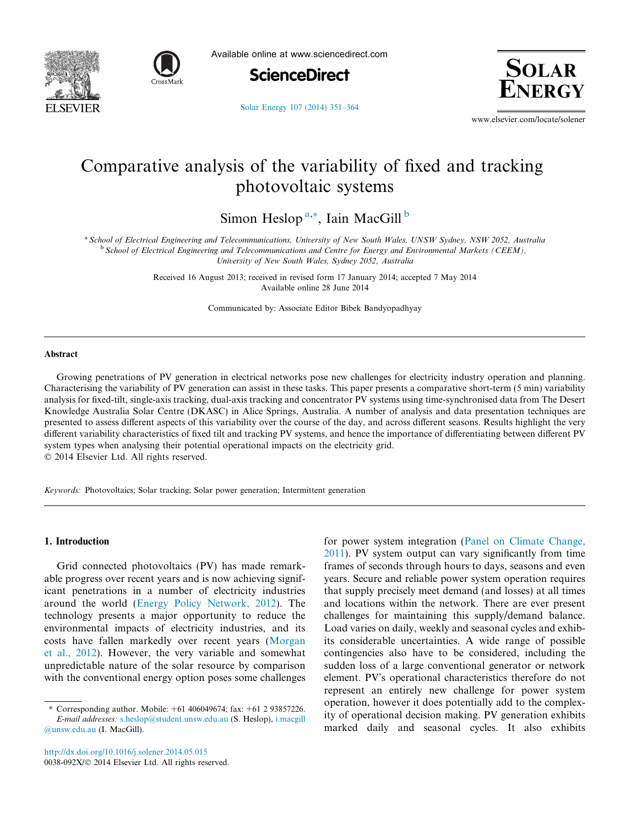



Available online at www.sciencedirect.com





[Solar Energy 107 \(2014\) 351–364](http://dx.doi.org/10.1016/j.solener.2014.05.015)

www.elsevier.com/locate/solener

## Comparative analysis of the variability of fixed and tracking photovoltaic systems

Simon Heslop<sup>a,\*</sup>, Iain MacGill<sup>b</sup>

a School of Electrical Engineering and Telecommunications, University of New South Wales, UNSW Sydney, NSW 2052, Australia <sup>b</sup> School of Electrical Engineering and Telecommunications and Centre for Energy and Environmental Markets (CEEM), University of New South Wales, Sydney 2052, Australia

> Received 16 August 2013; received in revised form 17 January 2014; accepted 7 May 2014 Available online 28 June 2014

Communicated by: Associate Editor Bibek Bandyopadhyay

## Abstract

Growing penetrations of PV generation in electrical networks pose new challenges for electricity industry operation and planning. Characterising the variability of PV generation can assist in these tasks. This paper presents a comparative short-term (5 min) variability analysis for fixed-tilt, single-axis tracking, dual-axis tracking and concentrator PV systems using time-synchronised data from The Desert Knowledge Australia Solar Centre (DKASC) in Alice Springs, Australia. A number of analysis and data presentation techniques are presented to assess different aspects of this variability over the course of the day, and across different seasons. Results highlight the very different variability characteristics of fixed tilt and tracking PV systems, and hence the importance of differentiating between different PV system types when analysing their potential operational impacts on the electricity grid.

 $©$  2014 Elsevier Ltd. All rights reserved.

Keywords: Photovoltaics; Solar tracking; Solar power generation; Intermittent generation

## 1. Introduction

Grid connected photovoltaics (PV) has made remarkable progress over recent years and is now achieving significant penetrations in a number of electricity industries around the world [\(Energy Policy Network, 2012](#page--1-0)). The technology presents a major opportunity to reduce the environmental impacts of electricity industries, and its costs have fallen markedly over recent years ([Morgan](#page--1-0) [et al., 2012\)](#page--1-0). However, the very variable and somewhat unpredictable nature of the solar resource by comparison with the conventional energy option poses some challenges

<http://dx.doi.org/10.1016/j.solener.2014.05.015>

for power system integration [\(Panel on Climate Change,](#page--1-0) [2011](#page--1-0)). PV system output can vary significantly from time frames of seconds through hours to days, seasons and even years. Secure and reliable power system operation requires that supply precisely meet demand (and losses) at all times and locations within the network. There are ever present challenges for maintaining this supply/demand balance. Load varies on daily, weekly and seasonal cycles and exhibits considerable uncertainties. A wide range of possible contingencies also have to be considered, including the sudden loss of a large conventional generator or network element. PV's operational characteristics therefore do not represent an entirely new challenge for power system operation, however it does potentially add to the complexity of operational decision making. PV generation exhibits marked daily and seasonal cycles. It also exhibits

Corresponding author. Mobile: +61 406049674; fax: +61 2 93857226. E-mail addresses: [s.heslop@student.unsw.edu.au](mailto:s.heslop@student.unsw.edu.au) (S. Heslop), [i.macgill](mailto:i.macgill@unsw.edu.au) [@unsw.edu.au](mailto:i.macgill@unsw.edu.au) (I. MacGill).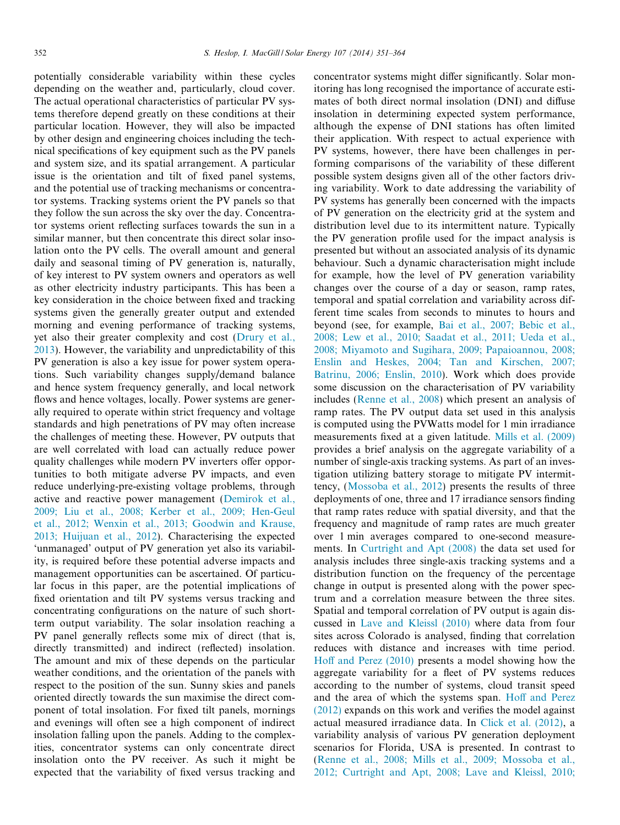potentially considerable variability within these cycles depending on the weather and, particularly, cloud cover. The actual operational characteristics of particular PV systems therefore depend greatly on these conditions at their particular location. However, they will also be impacted by other design and engineering choices including the technical specifications of key equipment such as the PV panels and system size, and its spatial arrangement. A particular issue is the orientation and tilt of fixed panel systems, and the potential use of tracking mechanisms or concentrator systems. Tracking systems orient the PV panels so that they follow the sun across the sky over the day. Concentrator systems orient reflecting surfaces towards the sun in a similar manner, but then concentrate this direct solar insolation onto the PV cells. The overall amount and general daily and seasonal timing of PV generation is, naturally, of key interest to PV system owners and operators as well as other electricity industry participants. This has been a key consideration in the choice between fixed and tracking systems given the generally greater output and extended morning and evening performance of tracking systems, yet also their greater complexity and cost [\(Drury et al.,](#page--1-0) [2013\)](#page--1-0). However, the variability and unpredictability of this PV generation is also a key issue for power system operations. Such variability changes supply/demand balance and hence system frequency generally, and local network flows and hence voltages, locally. Power systems are generally required to operate within strict frequency and voltage standards and high penetrations of PV may often increase the challenges of meeting these. However, PV outputs that are well correlated with load can actually reduce power quality challenges while modern PV inverters offer opportunities to both mitigate adverse PV impacts, and even reduce underlying-pre-existing voltage problems, through active and reactive power management ([Demirok et al.,](#page--1-0) [2009; Liu et al., 2008; Kerber et al., 2009; Hen-Geul](#page--1-0) [et al., 2012; Wenxin et al., 2013; Goodwin and Krause,](#page--1-0) [2013; Huijuan et al., 2012\)](#page--1-0). Characterising the expected 'unmanaged' output of PV generation yet also its variability, is required before these potential adverse impacts and management opportunities can be ascertained. Of particular focus in this paper, are the potential implications of fixed orientation and tilt PV systems versus tracking and concentrating configurations on the nature of such shortterm output variability. The solar insolation reaching a PV panel generally reflects some mix of direct (that is, directly transmitted) and indirect (reflected) insolation. The amount and mix of these depends on the particular weather conditions, and the orientation of the panels with respect to the position of the sun. Sunny skies and panels oriented directly towards the sun maximise the direct component of total insolation. For fixed tilt panels, mornings and evenings will often see a high component of indirect insolation falling upon the panels. Adding to the complexities, concentrator systems can only concentrate direct insolation onto the PV receiver. As such it might be expected that the variability of fixed versus tracking and

concentrator systems might differ significantly. Solar monitoring has long recognised the importance of accurate estimates of both direct normal insolation (DNI) and diffuse insolation in determining expected system performance, although the expense of DNI stations has often limited their application. With respect to actual experience with PV systems, however, there have been challenges in performing comparisons of the variability of these different possible system designs given all of the other factors driving variability. Work to date addressing the variability of PV systems has generally been concerned with the impacts of PV generation on the electricity grid at the system and distribution level due to its intermittent nature. Typically the PV generation profile used for the impact analysis is presented but without an associated analysis of its dynamic behaviour. Such a dynamic characterisation might include for example, how the level of PV generation variability changes over the course of a day or season, ramp rates, temporal and spatial correlation and variability across different time scales from seconds to minutes to hours and beyond (see, for example, [Bai et al., 2007; Bebic et al.,](#page--1-0) [2008; Lew et al., 2010; Saadat et al., 2011; Ueda et al.,](#page--1-0) [2008; Miyamoto and Sugihara, 2009; Papaioannou, 2008;](#page--1-0) [Enslin and Heskes, 2004; Tan and Kirschen, 2007;](#page--1-0) [Batrinu, 2006; Enslin, 2010\)](#page--1-0). Work which does provide some discussion on the characterisation of PV variability includes [\(Renne et al., 2008](#page--1-0)) which present an analysis of ramp rates. The PV output data set used in this analysis is computed using the PVWatts model for 1 min irradiance measurements fixed at a given latitude. [Mills et al. \(2009\)](#page--1-0) provides a brief analysis on the aggregate variability of a number of single-axis tracking systems. As part of an investigation utilizing battery storage to mitigate PV intermittency, [\(Mossoba et al., 2012](#page--1-0)) presents the results of three deployments of one, three and 17 irradiance sensors finding that ramp rates reduce with spatial diversity, and that the frequency and magnitude of ramp rates are much greater over 1 min averages compared to one-second measurements. In [Curtright and Apt \(2008\)](#page--1-0) the data set used for analysis includes three single-axis tracking systems and a distribution function on the frequency of the percentage change in output is presented along with the power spectrum and a correlation measure between the three sites. Spatial and temporal correlation of PV output is again discussed in [Lave and Kleissl \(2010\)](#page--1-0) where data from four sites across Colorado is analysed, finding that correlation reduces with distance and increases with time period. [Hoff and Perez \(2010\)](#page--1-0) presents a model showing how the aggregate variability for a fleet of PV systems reduces according to the number of systems, cloud transit speed and the area of which the systems span. [Hoff and Perez](#page--1-0) [\(2012\)](#page--1-0) expands on this work and verifies the model against actual measured irradiance data. In [Click et al. \(2012\)](#page--1-0), a variability analysis of various PV generation deployment scenarios for Florida, USA is presented. In contrast to [\(Renne et al., 2008; Mills et al., 2009; Mossoba et al.,](#page--1-0) [2012; Curtright and Apt, 2008; Lave and Kleissl, 2010;](#page--1-0)